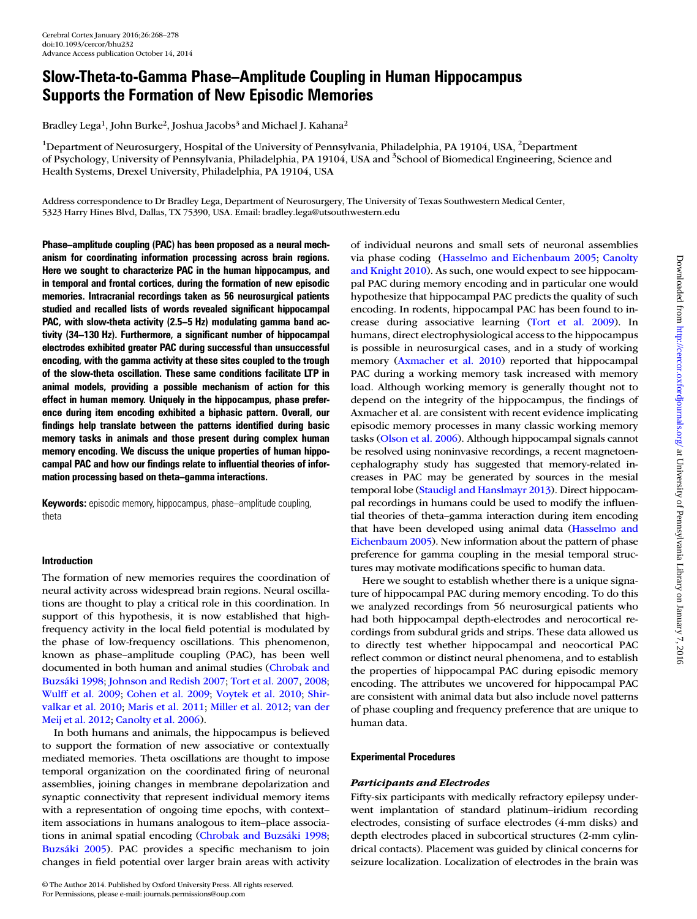# Slow-Theta-to-Gamma Phase–Amplitude Coupling in Human Hippocampus Supports the Formation of New Episodic Memories

Bradley Lega<sup>1</sup>, John Burke<sup>2</sup>, Joshua Jacobs<sup>3</sup> and Michael J. Kahana<sup>2</sup>

<sup>1</sup>Department of Neurosurgery, Hospital of the University of Pennsylvania, Philadelphia, PA 19104, USA, <sup>2</sup>Department of Psychology, University of Pennsylvania, Philadelphia, PA 19104, USA and <sup>3</sup>School of Biomedical Engineering, Science and Health Systems, Drexel University, Philadelphia, PA 19104, USA

Address correspondence to Dr Bradley Lega, Department of Neurosurgery, The University of Texas Southwestern Medical Center, 5323 Harry Hines Blvd, Dallas, TX 75390, USA. Email: bradley.lega@utsouthwestern.edu

Phase–amplitude coupling (PAC) has been proposed as a neural mechanism for coordinating information processing across brain regions. Here we sought to characterize PAC in the human hippocampus, and in temporal and frontal cortices, during the formation of new episodic memories. Intracranial recordings taken as 56 neurosurgical patients studied and recalled lists of words revealed significant hippocampal PAC, with slow-theta activity (2.5–5 Hz) modulating gamma band activity (34–130 Hz). Furthermore, a significant number of hippocampal electrodes exhibited greater PAC during successful than unsuccessful encoding, with the gamma activity at these sites coupled to the trough of the slow-theta oscillation. These same conditions facilitate LTP in animal models, providing a possible mechanism of action for this effect in human memory. Uniquely in the hippocampus, phase preference during item encoding exhibited a biphasic pattern. Overall, our findings help translate between the patterns identified during basic memory tasks in animals and those present during complex human memory encoding. We discuss the unique properties of human hippocampal PAC and how our findings relate to influential theories of information processing based on theta–gamma interactions.

Keywords: episodic memory, hippocampus, phase–amplitude coupling, theta

# Introduction

The formation of new memories requires the coordination of neural activity across widespread brain regions. Neural oscillations are thought to play a critical role in this coordination. In support of this hypothesis, it is now established that highfrequency activity in the local field potential is modulated by the phase of low-frequency oscillations. This phenomenon, known as phase–amplitude coupling (PAC), has been well documented in both human and animal studies (Chrobak and Buzsáki 1998; Johnson and Redish 2007; Tort et al. 2007, 2008; Wulff et al. 2009; Cohen et al. 2009; Voytek et al. 2010; Shirvalkar et al. 2010; Maris et al. 2011; Miller et al. 2012; van der Meij et al. 2012; Canolty et al. 2006).

In both humans and animals, the hippocampus is believed to support the formation of new associative or contextually mediated memories. Theta oscillations are thought to impose temporal organization on the coordinated firing of neuronal assemblies, joining changes in membrane depolarization and synaptic connectivity that represent individual memory items with a representation of ongoing time epochs, with context– item associations in humans analogous to item–place associations in animal spatial encoding (Chrobak and Buzsáki 1998; Buzsáki 2005). PAC provides a specific mechanism to join changes in field potential over larger brain areas with activity

© The Author 2014. Published by Oxford University Press. All rights reserved. For Permissions, please e-mail: journals.permissions@oup.com

of individual neurons and small sets of neuronal assemblies via phase coding (Hasselmo and Eichenbaum 2005; Canolty and Knight 2010). As such, one would expect to see hippocampal PAC during memory encoding and in particular one would hypothesize that hippocampal PAC predicts the quality of such encoding. In rodents, hippocampal PAC has been found to increase during associative learning (Tort et al. 2009). In humans, direct electrophysiological access to the hippocampus is possible in neurosurgical cases, and in a study of working memory (Axmacher et al. 2010) reported that hippocampal PAC during a working memory task increased with memory load. Although working memory is generally thought not to depend on the integrity of the hippocampus, the findings of Axmacher et al. are consistent with recent evidence implicating episodic memory processes in many classic working memory tasks (Olson et al. 2006). Although hippocampal signals cannot be resolved using noninvasive recordings, a recent magnetoencephalography study has suggested that memory-related increases in PAC may be generated by sources in the mesial temporal lobe (Staudigl and Hanslmayr 2013). Direct hippocampal recordings in humans could be used to modify the influential theories of theta–gamma interaction during item encoding that have been developed using animal data (Hasselmo and Eichenbaum 2005). New information about the pattern of phase preference for gamma coupling in the mesial temporal structures may motivate modifications specific to human data.

Here we sought to establish whether there is a unique signature of hippocampal PAC during memory encoding. To do this we analyzed recordings from 56 neurosurgical patients who had both hippocampal depth-electrodes and nerocortical recordings from subdural grids and strips. These data allowed us to directly test whether hippocampal and neocortical PAC reflect common or distinct neural phenomena, and to establish the properties of hippocampal PAC during episodic memory encoding. The attributes we uncovered for hippocampal PAC are consistent with animal data but also include novel patterns of phase coupling and frequency preference that are unique to human data.

# Experimental Procedures

# Participants and Electrodes

Fifty-six participants with medically refractory epilepsy underwent implantation of standard platinum–iridium recording electrodes, consisting of surface electrodes (4-mm disks) and depth electrodes placed in subcortical structures (2-mm cylindrical contacts). Placement was guided by clinical concerns for seizure localization. Localization of electrodes in the brain was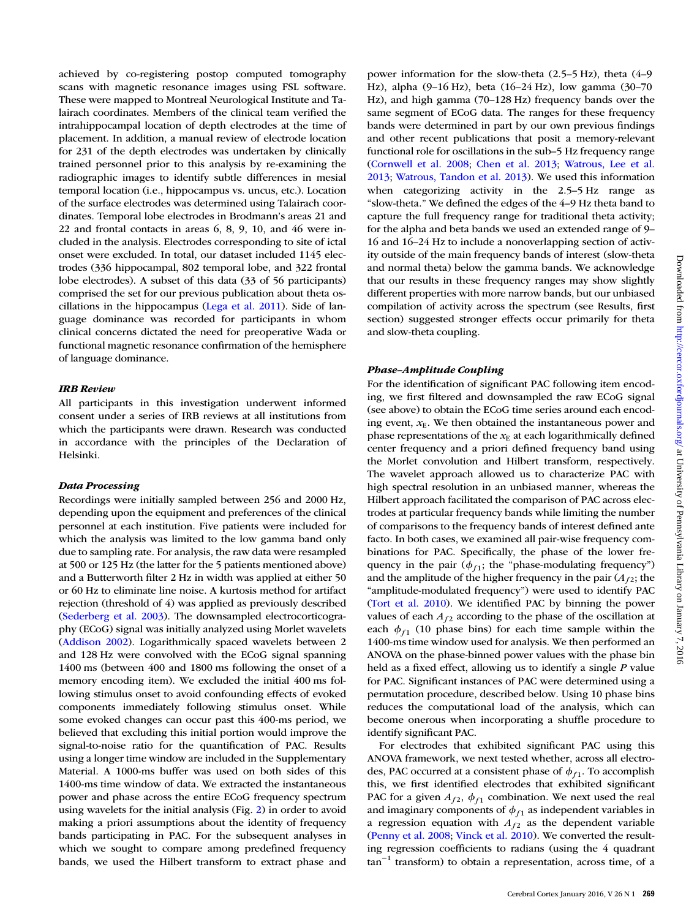achieved by co-registering postop computed tomography scans with magnetic resonance images using FSL software. These were mapped to Montreal Neurological Institute and Talairach coordinates. Members of the clinical team verified the intrahippocampal location of depth electrodes at the time of placement. In addition, a manual review of electrode location for 231 of the depth electrodes was undertaken by clinically trained personnel prior to this analysis by re-examining the radiographic images to identify subtle differences in mesial temporal location (i.e., hippocampus vs. uncus, etc.). Location of the surface electrodes was determined using Talairach coordinates. Temporal lobe electrodes in Brodmann's areas 21 and 22 and frontal contacts in areas 6, 8, 9, 10, and 46 were included in the analysis. Electrodes corresponding to site of ictal onset were excluded. In total, our dataset included 1145 electrodes (336 hippocampal, 802 temporal lobe, and 322 frontal lobe electrodes). A subset of this data (33 of 56 participants) comprised the set for our previous publication about theta oscillations in the hippocampus (Lega et al. 2011). Side of language dominance was recorded for participants in whom clinical concerns dictated the need for preoperative Wada or functional magnetic resonance confirmation of the hemisphere of language dominance.

# IRB Review

All participants in this investigation underwent informed consent under a series of IRB reviews at all institutions from which the participants were drawn. Research was conducted in accordance with the principles of the Declaration of Helsinki.

#### Data Processing

Recordings were initially sampled between 256 and 2000 Hz, depending upon the equipment and preferences of the clinical personnel at each institution. Five patients were included for which the analysis was limited to the low gamma band only due to sampling rate. For analysis, the raw data were resampled at 500 or 125 Hz (the latter for the 5 patients mentioned above) and a Butterworth filter 2 Hz in width was applied at either 50 or 60 Hz to eliminate line noise. A kurtosis method for artifact rejection (threshold of 4) was applied as previously described (Sederberg et al. 2003). The downsampled electrocorticography (ECoG) signal was initially analyzed using Morlet wavelets (Addison 2002). Logarithmically spaced wavelets between 2 and 128 Hz were convolved with the ECoG signal spanning 1400 ms (between 400 and 1800 ms following the onset of a memory encoding item). We excluded the initial 400 ms following stimulus onset to avoid confounding effects of evoked components immediately following stimulus onset. While some evoked changes can occur past this 400-ms period, we believed that excluding this initial portion would improve the signal-to-noise ratio for the quantification of PAC. Results using a longer time window are included in the Supplementary Material. A 1000-ms buffer was used on both sides of this 1400-ms time window of data. We extracted the instantaneous power and phase across the entire ECoG frequency spectrum using wavelets for the initial analysis (Fig. 2) in order to avoid making a priori assumptions about the identity of frequency bands participating in PAC. For the subsequent analyses in which we sought to compare among predefined frequency bands, we used the Hilbert transform to extract phase and power information for the slow-theta (2.5–5 Hz), theta (4–9 Hz), alpha (9–16 Hz), beta (16–24 Hz), low gamma (30–70 Hz), and high gamma (70–128 Hz) frequency bands over the same segment of ECoG data. The ranges for these frequency bands were determined in part by our own previous findings and other recent publications that posit a memory-relevant functional role for oscillations in the sub–5 Hz frequency range (Cornwell et al. 2008; Chen et al. 2013; Watrous, Lee et al. 2013; Watrous, Tandon et al. 2013). We used this information when categorizing activity in the 2.5–5 Hz range as "slow-theta." We defined the edges of the 4–9 Hz theta band to capture the full frequency range for traditional theta activity; for the alpha and beta bands we used an extended range of 9– 16 and 16–24 Hz to include a nonoverlapping section of activity outside of the main frequency bands of interest (slow-theta and normal theta) below the gamma bands. We acknowledge that our results in these frequency ranges may show slightly different properties with more narrow bands, but our unbiased compilation of activity across the spectrum (see Results, first section) suggested stronger effects occur primarily for theta and slow-theta coupling.

# Phase–Amplitude Coupling

For the identification of significant PAC following item encoding, we first filtered and downsampled the raw ECoG signal (see above) to obtain the ECoG time series around each encoding event,  $x_E$ . We then obtained the instantaneous power and phase representations of the  $x_E$  at each logarithmically defined center frequency and a priori defined frequency band using the Morlet convolution and Hilbert transform, respectively. The wavelet approach allowed us to characterize PAC with high spectral resolution in an unbiased manner, whereas the Hilbert approach facilitated the comparison of PAC across electrodes at particular frequency bands while limiting the number of comparisons to the frequency bands of interest defined ante facto. In both cases, we examined all pair-wise frequency combinations for PAC. Specifically, the phase of the lower frequency in the pair  $(\phi_{f1})$ ; the "phase-modulating frequency") and the amplitude of the higher frequency in the pair  $(A<sub>f2</sub>)$ ; the "amplitude-modulated frequency") were used to identify PAC (Tort et al. 2010). We identified PAC by binning the power values of each  $A_{f2}$  according to the phase of the oscillation at each  $\phi_{f1}$  (10 phase bins) for each time sample within the 1400-ms time window used for analysis. We then performed an ANOVA on the phase-binned power values with the phase bin held as a fixed effect, allowing us to identify a single P value for PAC. Significant instances of PAC were determined using a permutation procedure, described below. Using 10 phase bins reduces the computational load of the analysis, which can become onerous when incorporating a shuffle procedure to identify significant PAC.

For electrodes that exhibited significant PAC using this ANOVA framework, we next tested whether, across all electrodes, PAC occurred at a consistent phase of  $\phi_{f_1}$ . To accomplish this, we first identified electrodes that exhibited significant PAC for a given  $A_{f2}$ ,  $\phi_{f1}$  combination. We next used the real and imaginary components of  $\phi_{f_1}$  as independent variables in a regression equation with  $A_{f2}$  as the dependent variable (Penny et al. 2008; Vinck et al. 2010). We converted the resulting regression coefficients to radians (using the 4 quadrant  $tan^{-1}$  transform) to obtain a representation, across time, of a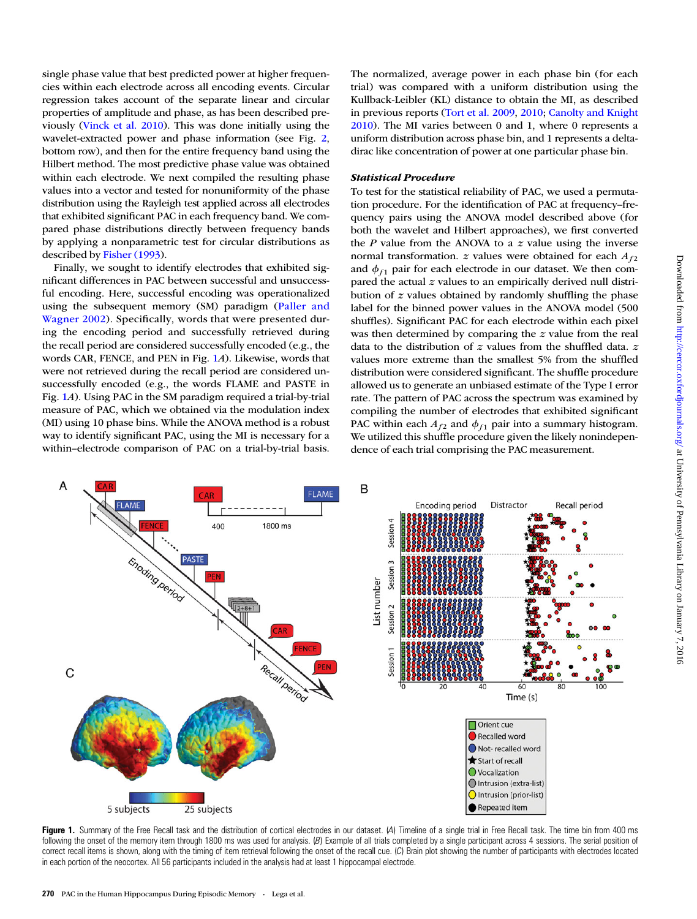single phase value that best predicted power at higher frequencies within each electrode across all encoding events. Circular regression takes account of the separate linear and circular properties of amplitude and phase, as has been described previously (Vinck et al. 2010). This was done initially using the wavelet-extracted power and phase information (see Fig. 2, bottom row), and then for the entire frequency band using the Hilbert method. The most predictive phase value was obtained within each electrode. We next compiled the resulting phase values into a vector and tested for nonuniformity of the phase distribution using the Rayleigh test applied across all electrodes that exhibited significant PAC in each frequency band. We compared phase distributions directly between frequency bands by applying a nonparametric test for circular distributions as described by Fisher (1993).

Finally, we sought to identify electrodes that exhibited significant differences in PAC between successful and unsuccessful encoding. Here, successful encoding was operationalized using the subsequent memory (SM) paradigm (Paller and Wagner 2002). Specifically, words that were presented during the encoding period and successfully retrieved during the recall period are considered successfully encoded (e.g., the words CAR, FENCE, and PEN in Fig. 1A). Likewise, words that were not retrieved during the recall period are considered unsuccessfully encoded (e.g., the words FLAME and PASTE in Fig. 1A). Using PAC in the SM paradigm required a trial-by-trial measure of PAC, which we obtained via the modulation index (MI) using 10 phase bins. While the ANOVA method is a robust way to identify significant PAC, using the MI is necessary for a within–electrode comparison of PAC on a trial-by-trial basis.

The normalized, average power in each phase bin (for each trial) was compared with a uniform distribution using the Kullback-Leibler (KL) distance to obtain the MI, as described in previous reports (Tort et al. 2009, 2010; Canolty and Knight 2010). The MI varies between 0 and 1, where 0 represents a uniform distribution across phase bin, and 1 represents a deltadirac like concentration of power at one particular phase bin.

#### Statistical Procedure

To test for the statistical reliability of PAC, we used a permutation procedure. For the identification of PAC at frequency–frequency pairs using the ANOVA model described above (for both the wavelet and Hilbert approaches), we first converted the  $P$  value from the ANOVA to a  $z$  value using the inverse normal transformation. z values were obtained for each  $A_{f2}$ and  $\phi_{f_1}$  pair for each electrode in our dataset. We then compared the actual z values to an empirically derived null distribution of  $z$  values obtained by randomly shuffling the phase label for the binned power values in the ANOVA model (500 shuffles). Significant PAC for each electrode within each pixel was then determined by comparing the z value from the real data to the distribution of  $z$  values from the shuffled data.  $z$ values more extreme than the smallest 5% from the shuffled distribution were considered significant. The shuffle procedure allowed us to generate an unbiased estimate of the Type I error rate. The pattern of PAC across the spectrum was examined by compiling the number of electrodes that exhibited significant PAC within each  $A_{f2}$  and  $\phi_{f1}$  pair into a summary histogram. We utilized this shuffle procedure given the likely nonindependence of each trial comprising the PAC measurement.



Figure 1. Summary of the Free Recall task and the distribution of cortical electrodes in our dataset. (A) Timeline of a single trial in Free Recall task. The time bin from 400 ms following the onset of the memory item through 1800 ms was used for analysis. (B) Example of all trials completed by a single participant across 4 sessions. The serial position of correct recall items is shown, along with the timing of item retrieval following the onset of the recall cue. (C) Brain plot showing the number of participants with electrodes located in each portion of the neocortex. All 56 participants included in the analysis had at least 1 hippocampal electrode.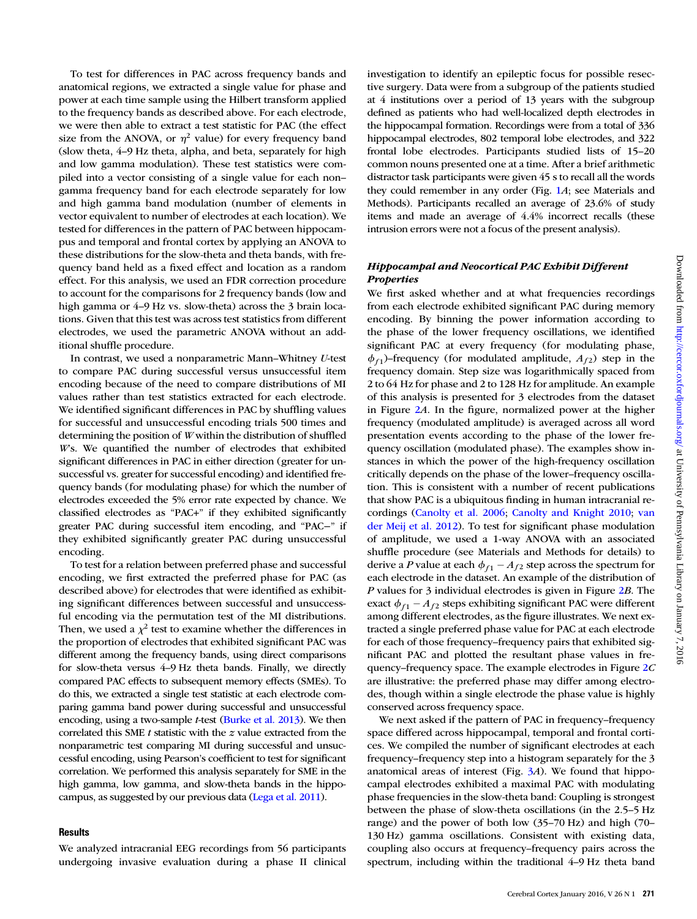To test for differences in PAC across frequency bands and anatomical regions, we extracted a single value for phase and power at each time sample using the Hilbert transform applied to the frequency bands as described above. For each electrode, we were then able to extract a test statistic for PAC (the effect size from the ANOVA, or  $\eta^2$  value) for every frequency band (slow theta, 4–9 Hz theta, alpha, and beta, separately for high and low gamma modulation). These test statistics were compiled into a vector consisting of a single value for each non– gamma frequency band for each electrode separately for low and high gamma band modulation (number of elements in vector equivalent to number of electrodes at each location). We tested for differences in the pattern of PAC between hippocampus and temporal and frontal cortex by applying an ANOVA to these distributions for the slow-theta and theta bands, with frequency band held as a fixed effect and location as a random effect. For this analysis, we used an FDR correction procedure to account for the comparisons for 2 frequency bands (low and high gamma or 4–9 Hz vs. slow-theta) across the 3 brain locations. Given that this test was across test statistics from different electrodes, we used the parametric ANOVA without an additional shuffle procedure.

In contrast, we used a nonparametric Mann–Whitney U-test to compare PAC during successful versus unsuccessful item encoding because of the need to compare distributions of MI values rather than test statistics extracted for each electrode. We identified significant differences in PAC by shuffling values for successful and unsuccessful encoding trials 500 times and determining the position of W within the distribution of shuffled W's. We quantified the number of electrodes that exhibited significant differences in PAC in either direction (greater for unsuccessful vs. greater for successful encoding) and identified frequency bands (for modulating phase) for which the number of electrodes exceeded the 5% error rate expected by chance. We classified electrodes as "PAC+" if they exhibited significantly greater PAC during successful item encoding, and "PAC−" if they exhibited significantly greater PAC during unsuccessful encoding.

To test for a relation between preferred phase and successful encoding, we first extracted the preferred phase for PAC (as described above) for electrodes that were identified as exhibiting significant differences between successful and unsuccessful encoding via the permutation test of the MI distributions. Then, we used a  $\chi^2$  test to examine whether the differences in the proportion of electrodes that exhibited significant PAC was different among the frequency bands, using direct comparisons for slow-theta versus 4–9 Hz theta bands. Finally, we directly compared PAC effects to subsequent memory effects (SMEs). To do this, we extracted a single test statistic at each electrode comparing gamma band power during successful and unsuccessful encoding, using a two-sample t-test (Burke et al. 2013). We then correlated this SME  $t$  statistic with the  $z$  value extracted from the nonparametric test comparing MI during successful and unsuccessful encoding, using Pearson's coefficient to test for significant correlation. We performed this analysis separately for SME in the high gamma, low gamma, and slow-theta bands in the hippocampus, as suggested by our previous data (Lega et al. 2011).

#### **Results**

We analyzed intracranial EEG recordings from 56 participants undergoing invasive evaluation during a phase II clinical investigation to identify an epileptic focus for possible resective surgery. Data were from a subgroup of the patients studied at 4 institutions over a period of 13 years with the subgroup defined as patients who had well-localized depth electrodes in the hippocampal formation. Recordings were from a total of 336 hippocampal electrodes, 802 temporal lobe electrodes, and 322 frontal lobe electrodes. Participants studied lists of 15–20 common nouns presented one at a time. After a brief arithmetic distractor task participants were given 45 s to recall all the words they could remember in any order (Fig. 1A; see Materials and Methods). Participants recalled an average of 23.6% of study items and made an average of 4.4% incorrect recalls (these intrusion errors were not a focus of the present analysis).

## Hippocampal and Neocortical PAC Exhibit Different **Properties**

We first asked whether and at what frequencies recordings from each electrode exhibited significant PAC during memory encoding. By binning the power information according to the phase of the lower frequency oscillations, we identified significant PAC at every frequency (for modulating phase,  $\phi_{f1}$ )–frequency (for modulated amplitude,  $A_{f2}$ ) step in the frequency domain. Step size was logarithmically spaced from 2 to 64 Hz for phase and 2 to 128 Hz for amplitude. An example of this analysis is presented for 3 electrodes from the dataset in Figure 2A. In the figure, normalized power at the higher frequency (modulated amplitude) is averaged across all word presentation events according to the phase of the lower frequency oscillation (modulated phase). The examples show instances in which the power of the high-frequency oscillation critically depends on the phase of the lower–frequency oscillation. This is consistent with a number of recent publications that show PAC is a ubiquitous finding in human intracranial recordings (Canolty et al. 2006; Canolty and Knight 2010; van der Meij et al. 2012). To test for significant phase modulation of amplitude, we used a 1-way ANOVA with an associated shuffle procedure (see Materials and Methods for details) to derive a P value at each  $\phi_{f_1} - A_{f_2}$  step across the spectrum for each electrode in the dataset. An example of the distribution of P values for 3 individual electrodes is given in Figure 2B. The exact  $\phi_{f_1}$  –  $A_{f_2}$  steps exhibiting significant PAC were different among different electrodes, as the figure illustrates. We next extracted a single preferred phase value for PAC at each electrode for each of those frequency–frequency pairs that exhibited significant PAC and plotted the resultant phase values in frequency–frequency space. The example electrodes in Figure 2C are illustrative: the preferred phase may differ among electrodes, though within a single electrode the phase value is highly conserved across frequency space.

We next asked if the pattern of PAC in frequency–frequency space differed across hippocampal, temporal and frontal cortices. We compiled the number of significant electrodes at each frequency–frequency step into a histogram separately for the 3 anatomical areas of interest (Fig.  $3A$ ). We found that hippocampal electrodes exhibited a maximal PAC with modulating phase frequencies in the slow-theta band: Coupling is strongest between the phase of slow-theta oscillations (in the 2.5–5 Hz range) and the power of both low (35–70 Hz) and high (70– 130 Hz) gamma oscillations. Consistent with existing data, coupling also occurs at frequency–frequency pairs across the spectrum, including within the traditional 4–9 Hz theta band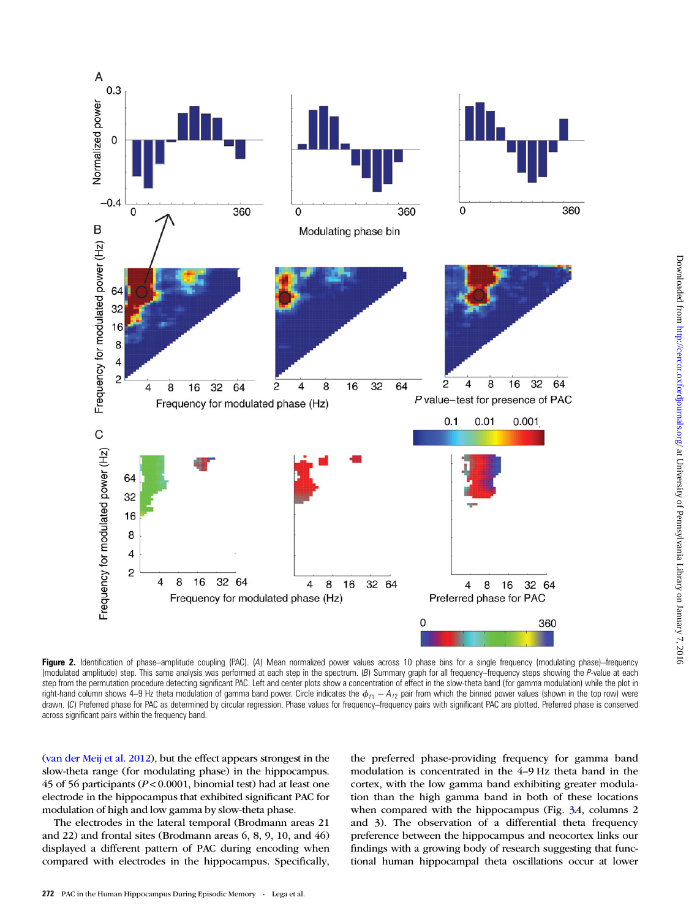

Figure 2. Identification of phase–amplitude coupling (PAC). (A) Mean normalized power values across 10 phase bins for a single frequency (modulating phase)–frequency (modulated amplitude) step. This same analysis was performed at each step in the spectrum. (B) Summary graph for all frequency–frequency steps showing the P-value at each step from the permutation procedure detecting significant PAC. Left and center plots show a concentration of effect in the slow-theta band (for gamma modulation) while the plot in right-hand column shows 4–9 Hz theta modulation of gamma band power. Circle indicates the  $\phi_{f1} - A_{f2}$  pair from which the binned power values (shown in the top row) were drawn. (C) Preferred phase for PAC as determined by circular regression. Phase values for frequency–frequency pairs with significant PAC are plotted. Preferred phase is conserved across significant pairs within the frequency band.

(van der Meij et al. 2012), but the effect appears strongest in the slow-theta range (for modulating phase) in the hippocampus. 45 of 56 participants ( $P < 0.0001$ , binomial test) had at least one electrode in the hippocampus that exhibited significant PAC for modulation of high and low gamma by slow-theta phase.

The electrodes in the lateral temporal (Brodmann areas 21 and 22) and frontal sites (Brodmann areas 6, 8, 9, 10, and 46) displayed a different pattern of PAC during encoding when compared with electrodes in the hippocampus. Specifically, the preferred phase-providing frequency for gamma band modulation is concentrated in the 4–9 Hz theta band in the cortex, with the low gamma band exhibiting greater modulation than the high gamma band in both of these locations when compared with the hippocampus (Fig. 3A, columns 2 and 3). The observation of a differential theta frequency preference between the hippocampus and neocortex links our findings with a growing body of research suggesting that functional human hippocampal theta oscillations occur at lower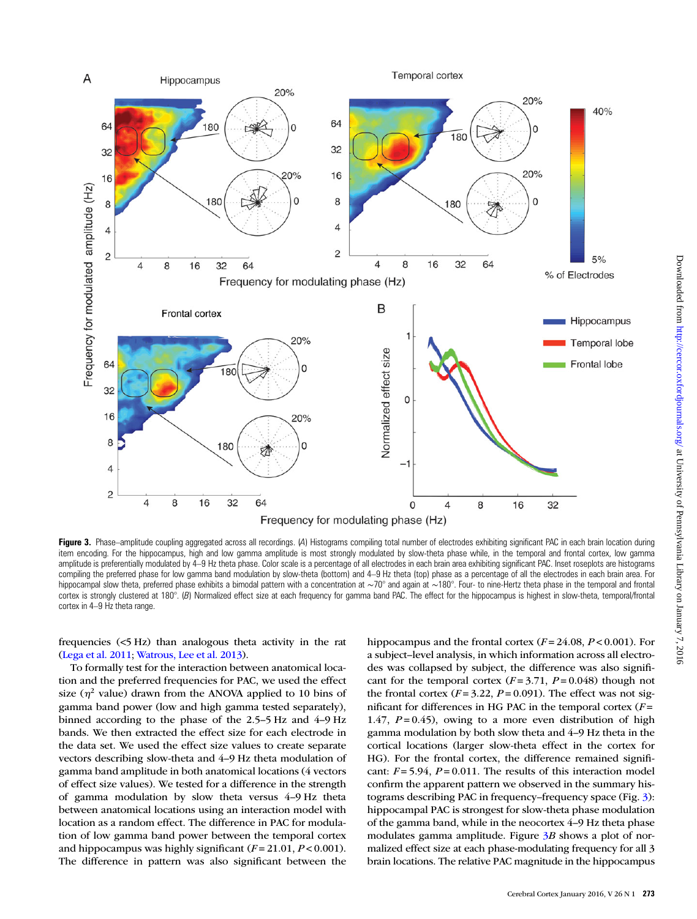

Figure 3. Phase-amplitude coupling aggregated across all recordings. (A) Histograms compiling total number of electrodes exhibiting significant PAC in each brain location during item encoding. For the hippocampus, high and low gamma amplitude is most strongly modulated by slow-theta phase while, in the temporal and frontal cortex, low gamma amplitude is preferentially modulated by 4–9 Hz theta phase. Color scale is a percentage of all electrodes in each brain area exhibiting significant PAC. Inset roseplots are histograms compiling the preferred phase for low gamma band modulation by slow-theta (bottom) and 4–9 Hz theta (top) phase as a percentage of all the electrodes in each brain area. For hippocampal slow theta, preferred phase exhibits a bimodal pattern with a concentration at ~70° and again at ~180°. Four- to nine-Hertz theta phase in the temporal and frontal cortex is strongly clustered at 180°. (B) Normalized effect size at each frequency for gamma band PAC. The effect for the hippocampus is highest in slow-theta, temporal/frontal cortex in 4–9 Hz theta range.

frequencies (<5 Hz) than analogous theta activity in the rat (Lega et al. 2011; Watrous, Lee et al. 2013).

To formally test for the interaction between anatomical location and the preferred frequencies for PAC, we used the effect size ( $\eta^2$  value) drawn from the ANOVA applied to 10 bins of gamma band power (low and high gamma tested separately), binned according to the phase of the 2.5–5 Hz and 4–9 Hz bands. We then extracted the effect size for each electrode in the data set. We used the effect size values to create separate vectors describing slow-theta and 4–9 Hz theta modulation of gamma band amplitude in both anatomical locations (4 vectors of effect size values). We tested for a difference in the strength of gamma modulation by slow theta versus 4–9 Hz theta between anatomical locations using an interaction model with location as a random effect. The difference in PAC for modulation of low gamma band power between the temporal cortex and hippocampus was highly significant  $(F = 21.01, P < 0.001)$ . The difference in pattern was also significant between the

hippocampus and the frontal cortex  $(F = 24.08, P < 0.001)$ . For a subject–level analysis, in which information across all electrodes was collapsed by subject, the difference was also significant for the temporal cortex  $(F = 3.71, P = 0.048)$  though not the frontal cortex  $(F = 3.22, P = 0.091)$ . The effect was not significant for differences in HG PAC in the temporal cortex  $(F =$ 1.47,  $P = 0.45$ ), owing to a more even distribution of high gamma modulation by both slow theta and 4–9 Hz theta in the cortical locations (larger slow-theta effect in the cortex for HG). For the frontal cortex, the difference remained significant:  $F = 5.94$ ,  $P = 0.011$ . The results of this interaction model confirm the apparent pattern we observed in the summary histograms describing PAC in frequency–frequency space (Fig. 3): hippocampal PAC is strongest for slow-theta phase modulation of the gamma band, while in the neocortex 4–9 Hz theta phase modulates gamma amplitude. Figure  $3B$  shows a plot of normalized effect size at each phase-modulating frequency for all 3 brain locations. The relative PAC magnitude in the hippocampus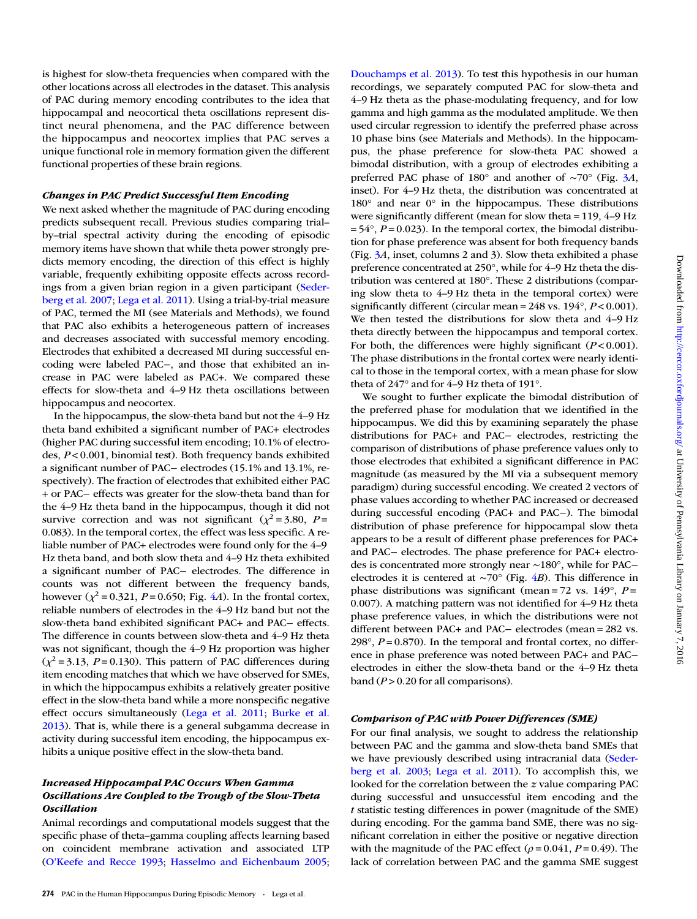is highest for slow-theta frequencies when compared with the other locations across all electrodes in the dataset. This analysis of PAC during memory encoding contributes to the idea that hippocampal and neocortical theta oscillations represent distinct neural phenomena, and the PAC difference between the hippocampus and neocortex implies that PAC serves a unique functional role in memory formation given the different functional properties of these brain regions.

### Changes in PAC Predict Successful Item Encoding

We next asked whether the magnitude of PAC during encoding predicts subsequent recall. Previous studies comparing trial– by–trial spectral activity during the encoding of episodic memory items have shown that while theta power strongly predicts memory encoding, the direction of this effect is highly variable, frequently exhibiting opposite effects across recordings from a given brian region in a given participant (Sederberg et al. 2007; Lega et al. 2011). Using a trial-by-trial measure of PAC, termed the MI (see Materials and Methods), we found that PAC also exhibits a heterogeneous pattern of increases and decreases associated with successful memory encoding. Electrodes that exhibited a decreased MI during successful encoding were labeled PAC−, and those that exhibited an increase in PAC were labeled as PAC+. We compared these effects for slow-theta and 4–9 Hz theta oscillations between hippocampus and neocortex.

In the hippocampus, the slow-theta band but not the 4–9 Hz theta band exhibited a significant number of PAC+ electrodes (higher PAC during successful item encoding; 10.1% of electrodes, P < 0.001, binomial test). Both frequency bands exhibited a significant number of PAC− electrodes (15.1% and 13.1%, respectively). The fraction of electrodes that exhibited either PAC + or PAC− effects was greater for the slow-theta band than for the 4–9 Hz theta band in the hippocampus, though it did not survive correction and was not significant ( $\chi^2$  = 3.80, P = 0.083). In the temporal cortex, the effect was less specific. A reliable number of PAC+ electrodes were found only for the 4–9 Hz theta band, and both slow theta and 4–9 Hz theta exhibited a significant number of PAC− electrodes. The difference in counts was not different between the frequency bands, however ( $\chi^2$  = 0.321, P = 0.650; Fig. 4A). In the frontal cortex, reliable numbers of electrodes in the 4–9 Hz band but not the slow-theta band exhibited significant PAC+ and PAC− effects. The difference in counts between slow-theta and 4–9 Hz theta was not significant, though the 4–9 Hz proportion was higher  $(\chi^2 = 3.13, P = 0.130)$ . This pattern of PAC differences during item encoding matches that which we have observed for SMEs, in which the hippocampus exhibits a relatively greater positive effect in the slow-theta band while a more nonspecific negative effect occurs simultaneously (Lega et al. 2011; Burke et al. 2013). That is, while there is a general subgamma decrease in activity during successful item encoding, the hippocampus exhibits a unique positive effect in the slow-theta band.

# Increased Hippocampal PAC Occurs When Gamma Oscillations Are Coupled to the Trough of the Slow-Theta **Oscillation**

Animal recordings and computational models suggest that the specific phase of theta–gamma coupling affects learning based on coincident membrane activation and associated LTP (O'Keefe and Recce 1993; Hasselmo and Eichenbaum 2005; Douchamps et al. 2013). To test this hypothesis in our human recordings, we separately computed PAC for slow-theta and 4–9 Hz theta as the phase-modulating frequency, and for low gamma and high gamma as the modulated amplitude. We then used circular regression to identify the preferred phase across 10 phase bins (see Materials and Methods). In the hippocampus, the phase preference for slow-theta PAC showed a bimodal distribution, with a group of electrodes exhibiting a preferred PAC phase of 180° and another of ∼70° (Fig. 3A, inset). For 4–9 Hz theta, the distribution was concentrated at 180° and near 0° in the hippocampus. These distributions were significantly different (mean for slow theta = 119, 4–9 Hz  $= 54^{\circ}$ ,  $P = 0.023$ ). In the temporal cortex, the bimodal distribution for phase preference was absent for both frequency bands (Fig. 3A, inset, columns 2 and 3). Slow theta exhibited a phase preference concentrated at 250°, while for 4–9 Hz theta the distribution was centered at 180°. These 2 distributions (comparing slow theta to 4–9 Hz theta in the temporal cortex) were significantly different (circular mean =  $248$  vs.  $194^\circ$ ,  $P < 0.001$ ). We then tested the distributions for slow theta and 4–9 Hz theta directly between the hippocampus and temporal cortex. For both, the differences were highly significant  $(P<0.001)$ . The phase distributions in the frontal cortex were nearly identical to those in the temporal cortex, with a mean phase for slow theta of 247° and for 4–9 Hz theta of 191°.

We sought to further explicate the bimodal distribution of the preferred phase for modulation that we identified in the hippocampus. We did this by examining separately the phase distributions for PAC+ and PAC− electrodes, restricting the comparison of distributions of phase preference values only to those electrodes that exhibited a significant difference in PAC magnitude (as measured by the MI via a subsequent memory paradigm) during successful encoding. We created 2 vectors of phase values according to whether PAC increased or decreased during successful encoding (PAC+ and PAC−). The bimodal distribution of phase preference for hippocampal slow theta appears to be a result of different phase preferences for PAC+ and PAC− electrodes. The phase preference for PAC+ electrodes is concentrated more strongly near ∼180°, while for PAC− electrodes it is centered at ∼70° (Fig. 4B). This difference in phase distributions was significant (mean =  $72$  vs.  $149^\circ$ ,  $P =$ 0.007). A matching pattern was not identified for 4–9 Hz theta phase preference values, in which the distributions were not different between PAC+ and PAC− electrodes (mean = 282 vs. 298 $^{\circ}$ ,  $P = 0.870$ ). In the temporal and frontal cortex, no difference in phase preference was noted between PAC+ and PAC− electrodes in either the slow-theta band or the 4–9 Hz theta band  $(P > 0.20$  for all comparisons).

## Comparison of PAC with Power Differences (SME)

For our final analysis, we sought to address the relationship between PAC and the gamma and slow-theta band SMEs that we have previously described using intracranial data (Sederberg et al. 2003; Lega et al. 2011). To accomplish this, we looked for the correlation between the z value comparing PAC during successful and unsuccessful item encoding and the t statistic testing differences in power (magnitude of the SME) during encoding. For the gamma band SME, there was no significant correlation in either the positive or negative direction with the magnitude of the PAC effect ( $\rho$  = 0.041, P = 0.49). The lack of correlation between PAC and the gamma SME suggest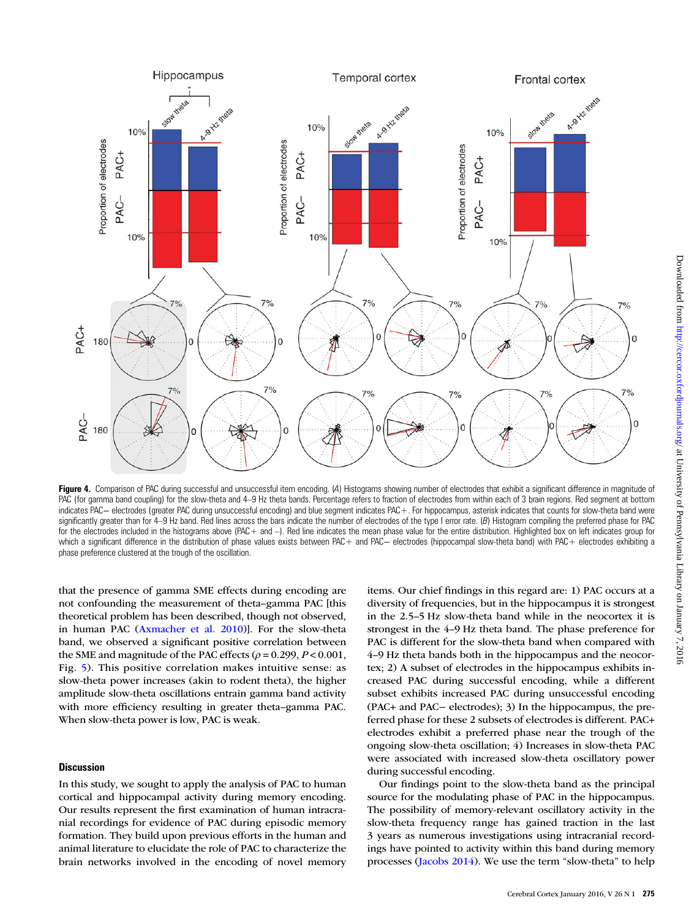

Figure 4. Comparison of PAC during successful and unsuccessful item encoding. (A) Histograms showing number of electrodes that exhibit a significant difference in magnitude of PAC (for gamma band coupling) for the slow-theta and 4–9 Hz theta bands. Percentage refers to fraction of electrodes from within each of 3 brain regions. Red segment at bottom indicates PAC− electrodes (greater PAC during unsuccessful encoding) and blue segment indicates PAC+. For hippocampus, asterisk indicates that counts for slow-theta band were significantly greater than for 4–9 Hz band. Red lines across the bars indicate the number of electrodes of the type I error rate. (B) Histogram compiling the preferred phase for PAC for the electrodes included in the histograms above (PAC+ and -). Red line indicates the mean phase value for the entire distribution. Highlighted box on left indicates group for which a significant difference in the distribution of phase values exists between PAC+ and PAC– electrodes (hippocampal slow-theta band) with PAC+ electrodes exhibiting a phase preference clustered at the trough of the oscillation.

that the presence of gamma SME effects during encoding are not confounding the measurement of theta–gamma PAC [this theoretical problem has been described, though not observed, in human PAC (Axmacher et al. 2010)]. For the slow-theta band, we observed a significant positive correlation between the SME and magnitude of the PAC effects ( $\rho$  = 0.299, P < 0.001, Fig. 5). This positive correlation makes intuitive sense: as slow-theta power increases (akin to rodent theta), the higher amplitude slow-theta oscillations entrain gamma band activity with more efficiency resulting in greater theta–gamma PAC. When slow-theta power is low, PAC is weak.

# **Discussion**

In this study, we sought to apply the analysis of PAC to human cortical and hippocampal activity during memory encoding. Our results represent the first examination of human intracranial recordings for evidence of PAC during episodic memory formation. They build upon previous efforts in the human and animal literature to elucidate the role of PAC to characterize the brain networks involved in the encoding of novel memory

items. Our chief findings in this regard are: 1) PAC occurs at a diversity of frequencies, but in the hippocampus it is strongest in the 2.5–5 Hz slow-theta band while in the neocortex it is strongest in the 4–9 Hz theta band. The phase preference for PAC is different for the slow-theta band when compared with 4–9 Hz theta bands both in the hippocampus and the neocortex; 2) A subset of electrodes in the hippocampus exhibits increased PAC during successful encoding, while a different subset exhibits increased PAC during unsuccessful encoding (PAC+ and PAC− electrodes); 3) In the hippocampus, the preferred phase for these 2 subsets of electrodes is different. PAC+ electrodes exhibit a preferred phase near the trough of the ongoing slow-theta oscillation; 4) Increases in slow-theta PAC were associated with increased slow-theta oscillatory power during successful encoding.

Our findings point to the slow-theta band as the principal source for the modulating phase of PAC in the hippocampus. The possibility of memory-relevant oscillatory activity in the slow-theta frequency range has gained traction in the last 3 years as numerous investigations using intracranial recordings have pointed to activity within this band during memory processes (Jacobs 2014). We use the term "slow-theta" to help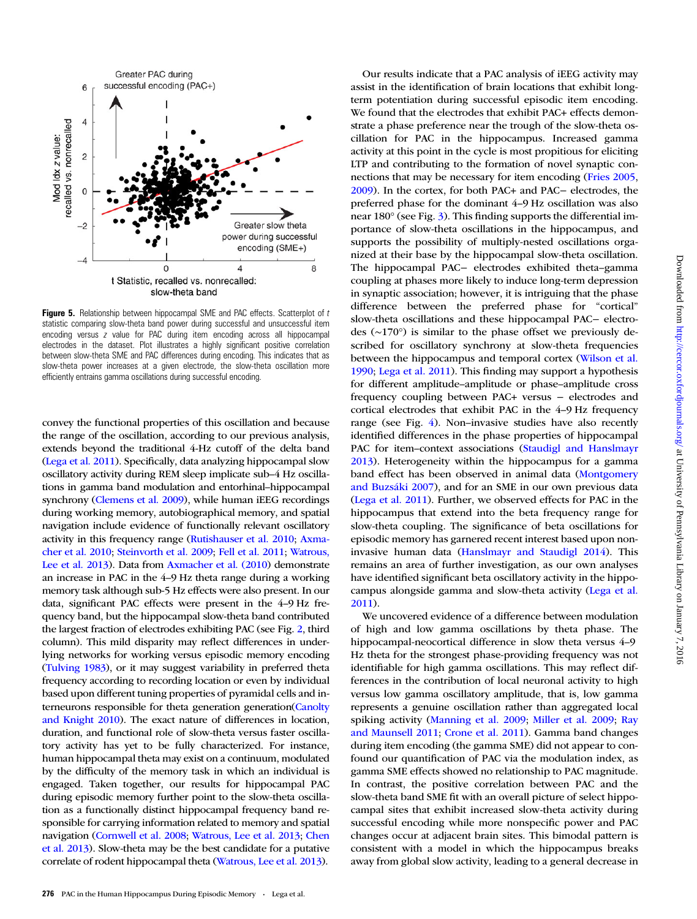

Figure 5. Relationship between hippocampal SME and PAC effects. Scatterplot of  $t$ statistic comparing slow-theta band power during successful and unsuccessful item encoding versus z value for PAC during item encoding across all hippocampal electrodes in the dataset. Plot illustrates a highly significant positive correlation between slow-theta SME and PAC differences during encoding. This indicates that as slow-theta power increases at a given electrode, the slow-theta oscillation more efficiently entrains gamma oscillations during successful encoding.

convey the functional properties of this oscillation and because the range of the oscillation, according to our previous analysis, extends beyond the traditional 4-Hz cutoff of the delta band (Lega et al. 2011). Specifically, data analyzing hippocampal slow oscillatory activity during REM sleep implicate sub–4 Hz oscillations in gamma band modulation and entorhinal–hippocampal synchrony (Clemens et al. 2009), while human iEEG recordings during working memory, autobiographical memory, and spatial navigation include evidence of functionally relevant oscillatory activity in this frequency range (Rutishauser et al. 2010; Axmacher et al. 2010; Steinvorth et al. 2009; Fell et al. 2011; Watrous, Lee et al. 2013). Data from Axmacher et al. (2010) demonstrate an increase in PAC in the 4–9 Hz theta range during a working memory task although sub-5 Hz effects were also present. In our data, significant PAC effects were present in the 4–9 Hz frequency band, but the hippocampal slow-theta band contributed the largest fraction of electrodes exhibiting PAC (see Fig. 2, third column). This mild disparity may reflect differences in underlying networks for working versus episodic memory encoding (Tulving 1983), or it may suggest variability in preferred theta frequency according to recording location or even by individual based upon different tuning properties of pyramidal cells and interneurons responsible for theta generation generation(Canolty and Knight 2010). The exact nature of differences in location, duration, and functional role of slow-theta versus faster oscillatory activity has yet to be fully characterized. For instance, human hippocampal theta may exist on a continuum, modulated by the difficulty of the memory task in which an individual is engaged. Taken together, our results for hippocampal PAC during episodic memory further point to the slow-theta oscillation as a functionally distinct hippocampal frequency band responsible for carrying information related to memory and spatial navigation (Cornwell et al. 2008; Watrous, Lee et al. 2013; Chen et al. 2013). Slow-theta may be the best candidate for a putative correlate of rodent hippocampal theta (Watrous, Lee et al. 2013).

assist in the identification of brain locations that exhibit longterm potentiation during successful episodic item encoding. We found that the electrodes that exhibit PAC+ effects demonstrate a phase preference near the trough of the slow-theta oscillation for PAC in the hippocampus. Increased gamma activity at this point in the cycle is most propitious for eliciting LTP and contributing to the formation of novel synaptic connections that may be necessary for item encoding (Fries 2005, 2009). In the cortex, for both PAC+ and PAC− electrodes, the preferred phase for the dominant 4–9 Hz oscillation was also near 180° (see Fig. 3). This finding supports the differential importance of slow-theta oscillations in the hippocampus, and supports the possibility of multiply-nested oscillations organized at their base by the hippocampal slow-theta oscillation. The hippocampal PAC− electrodes exhibited theta–gamma coupling at phases more likely to induce long-term depression in synaptic association; however, it is intriguing that the phase difference between the preferred phase for "cortical" slow-theta oscillations and these hippocampal PAC− electrodes (∼170°) is similar to the phase offset we previously described for oscillatory synchrony at slow-theta frequencies between the hippocampus and temporal cortex (Wilson et al. 1990; Lega et al. 2011). This finding may support a hypothesis for different amplitude–amplitude or phase–amplitude cross frequency coupling between PAC+ versus − electrodes and cortical electrodes that exhibit PAC in the 4–9 Hz frequency range (see Fig. 4). Non–invasive studies have also recently identified differences in the phase properties of hippocampal PAC for item–context associations (Staudigl and Hanslmayr 2013). Heterogeneity within the hippocampus for a gamma band effect has been observed in animal data (Montgomery and Buzsáki 2007), and for an SME in our own previous data (Lega et al. 2011). Further, we observed effects for PAC in the hippocampus that extend into the beta frequency range for slow-theta coupling. The significance of beta oscillations for episodic memory has garnered recent interest based upon noninvasive human data (Hanslmayr and Staudigl 2014). This remains an area of further investigation, as our own analyses have identified significant beta oscillatory activity in the hippocampus alongside gamma and slow-theta activity (Lega et al. 2011). We uncovered evidence of a difference between modulation

Our results indicate that a PAC analysis of iEEG activity may

of high and low gamma oscillations by theta phase. The hippocampal-neocortical difference in slow theta versus 4-9 Hz theta for the strongest phase-providing frequency was not identifiable for high gamma oscillations. This may reflect differences in the contribution of local neuronal activity to high versus low gamma oscillatory amplitude, that is, low gamma represents a genuine oscillation rather than aggregated local spiking activity (Manning et al. 2009; Miller et al. 2009; Ray and Maunsell 2011; Crone et al. 2011). Gamma band changes during item encoding (the gamma SME) did not appear to confound our quantification of PAC via the modulation index, as gamma SME effects showed no relationship to PAC magnitude. In contrast, the positive correlation between PAC and the slow-theta band SME fit with an overall picture of select hippocampal sites that exhibit increased slow-theta activity during successful encoding while more nonspecific power and PAC changes occur at adjacent brain sites. This bimodal pattern is consistent with a model in which the hippocampus breaks away from global slow activity, leading to a general decrease in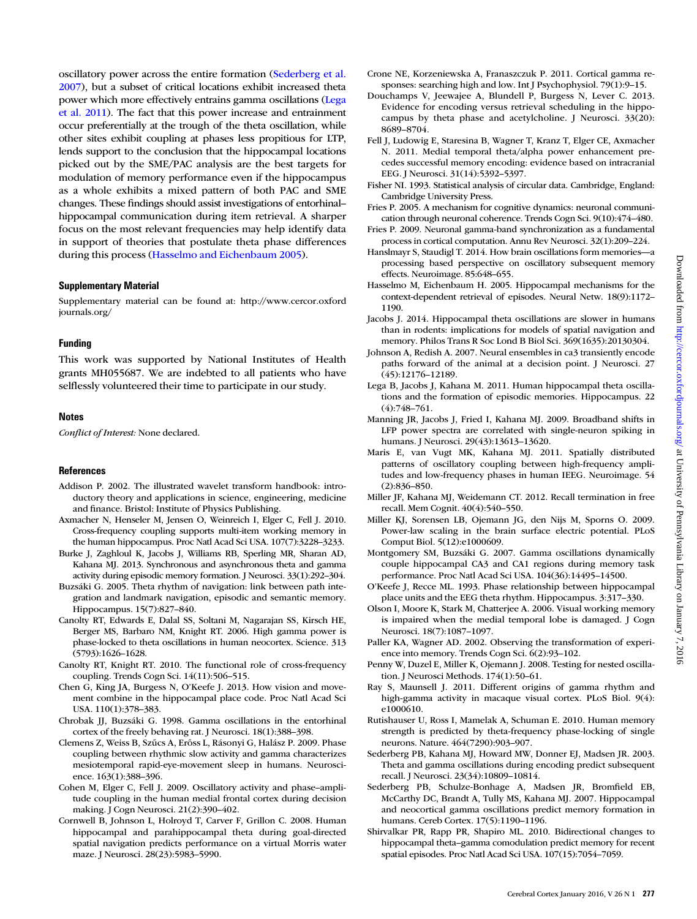Downloaded from http://cercor.oxfordjournals.org/ at University of Pennsylvania Library on January 7, 2016 Downloaded from http://cercor.oxfordjournals.org/ at University of Pennsylvania Library on January 7, 2016

oscillatory power across the entire formation (Sederberg et al. 2007), but a subset of critical locations exhibit increased theta power which more effectively entrains gamma oscillations (Lega et al. 2011). The fact that this power increase and entrainment occur preferentially at the trough of the theta oscillation, while other sites exhibit coupling at phases less propitious for LTP, lends support to the conclusion that the hippocampal locations picked out by the SME/PAC analysis are the best targets for modulation of memory performance even if the hippocampus as a whole exhibits a mixed pattern of both PAC and SME changes. These findings should assist investigations of entorhinal– hippocampal communication during item retrieval. A sharper focus on the most relevant frequencies may help identify data in support of theories that postulate theta phase differences during this process (Hasselmo and Eichenbaum 2005).

#### Supplementary Material

Supplementary material can be found at: http://www.cercor.oxford journals.org/

#### Funding

This work was supported by National Institutes of Health grants MH055687. We are indebted to all patients who have selflessly volunteered their time to participate in our study.

#### Notes

Conflict of Interest: None declared.

#### References

- Addison P. 2002. The illustrated wavelet transform handbook: introductory theory and applications in science, engineering, medicine and finance. Bristol: Institute of Physics Publishing.
- Axmacher N, Henseler M, Jensen O, Weinreich I, Elger C, Fell J. 2010. Cross-frequency coupling supports multi-item working memory in the human hippocampus. Proc Natl Acad Sci USA. 107(7):3228–3233.
- Burke J, Zaghloul K, Jacobs J, Williams RB, Sperling MR, Sharan AD, Kahana MJ. 2013. Synchronous and asynchronous theta and gamma activity during episodic memory formation. J Neurosci. 33(1):292–304.
- Buzsáki G. 2005. Theta rhythm of navigation: link between path integration and landmark navigation, episodic and semantic memory. Hippocampus. 15(7):827–840.
- Canolty RT, Edwards E, Dalal SS, Soltani M, Nagarajan SS, Kirsch HE, Berger MS, Barbaro NM, Knight RT. 2006. High gamma power is phase-locked to theta oscillations in human neocortex. Science. 313 (5793):1626–1628.
- Canolty RT, Knight RT. 2010. The functional role of cross-frequency coupling. Trends Cogn Sci. 14(11):506–515.
- Chen G, King JA, Burgess N, O'Keefe J. 2013. How vision and movement combine in the hippocampal place code. Proc Natl Acad Sci USA. 110(1):378–383.
- Chrobak JJ, Buzsáki G. 1998. Gamma oscillations in the entorhinal cortex of the freely behaving rat. J Neurosci. 18(1):388–398.
- Clemens Z, Weiss B, Szűcs A, Erőss L, Rásonyi G, Halász P. 2009. Phase coupling between rhythmic slow activity and gamma characterizes mesiotemporal rapid-eye-movement sleep in humans. Neuroscience. 163(1):388–396.
- Cohen M, Elger C, Fell J. 2009. Oscillatory activity and phase–amplitude coupling in the human medial frontal cortex during decision making. J Cogn Neurosci. 21(2):390–402.
- Cornwell B, Johnson L, Holroyd T, Carver F, Grillon C. 2008. Human hippocampal and parahippocampal theta during goal-directed spatial navigation predicts performance on a virtual Morris water maze. J Neurosci. 28(23):5983–5990.
- Crone NE, Korzeniewska A, Franaszczuk P. 2011. Cortical gamma responses: searching high and low. Int J Psychophysiol. 79(1):9–15.
- Douchamps V, Jeewajee A, Blundell P, Burgess N, Lever C. 2013. Evidence for encoding versus retrieval scheduling in the hippocampus by theta phase and acetylcholine. J Neurosci. 33(20): 8689–8704.
- Fell J, Ludowig E, Staresina B, Wagner T, Kranz T, Elger CE, Axmacher N. 2011. Medial temporal theta/alpha power enhancement precedes successful memory encoding: evidence based on intracranial EEG. J Neurosci. 31(14):5392–5397.
- Fisher NI. 1993. Statistical analysis of circular data. Cambridge, England: Cambridge University Press.
- Fries P. 2005. A mechanism for cognitive dynamics: neuronal communication through neuronal coherence. Trends Cogn Sci. 9(10):474–480.
- Fries P. 2009. Neuronal gamma-band synchronization as a fundamental process in cortical computation. Annu Rev Neurosci. 32(1):209–224.
- Hanslmayr S, Staudigl T. 2014. How brain oscillations form memories—a processing based perspective on oscillatory subsequent memory effects. Neuroimage. 85:648–655.
- Hasselmo M, Eichenbaum H. 2005. Hippocampal mechanisms for the context-dependent retrieval of episodes. Neural Netw. 18(9):1172– 1190.
- Jacobs J. 2014. Hippocampal theta oscillations are slower in humans than in rodents: implications for models of spatial navigation and memory. Philos Trans R Soc Lond B Biol Sci. 369(1635):20130304.
- Johnson A, Redish A. 2007. Neural ensembles in ca3 transiently encode paths forward of the animal at a decision point. J Neurosci. 27 (45):12176–12189.
- Lega B, Jacobs J, Kahana M. 2011. Human hippocampal theta oscillations and the formation of episodic memories. Hippocampus. 22 (4):748–761.
- Manning JR, Jacobs J, Fried I, Kahana MJ. 2009. Broadband shifts in LFP power spectra are correlated with single-neuron spiking in humans. J Neurosci. 29(43):13613–13620.
- Maris E, van Vugt MK, Kahana MJ. 2011. Spatially distributed patterns of oscillatory coupling between high-frequency amplitudes and low-frequency phases in human IEEG. Neuroimage. 54 (2):836–850.
- Miller JF, Kahana MJ, Weidemann CT. 2012. Recall termination in free recall. Mem Cognit. 40(4):540–550.
- Miller KJ, Sorensen LB, Ojemann JG, den Nijs M, Sporns O. 2009. Power-law scaling in the brain surface electric potential. PLoS Comput Biol. 5(12):e1000609.
- Montgomery SM, Buzsáki G. 2007. Gamma oscillations dynamically couple hippocampal CA3 and CA1 regions during memory task performance. Proc Natl Acad Sci USA. 104(36):14495–14500.
- O'Keefe J, Recce ML. 1993. Phase relationship between hippocampal place units and the EEG theta rhythm. Hippocampus. 3:317–330.
- Olson I, Moore K, Stark M, Chatterjee A. 2006. Visual working memory is impaired when the medial temporal lobe is damaged. J Cogn Neurosci. 18(7):1087–1097.
- Paller KA, Wagner AD. 2002. Observing the transformation of experience into memory. Trends Cogn Sci. 6(2):93–102.
- Penny W, Duzel E, Miller K, Ojemann J. 2008. Testing for nested oscillation. J Neurosci Methods. 174(1):50–61.
- Ray S, Maunsell J. 2011. Different origins of gamma rhythm and high-gamma activity in macaque visual cortex. PLoS Biol. 9(4): e1000610.
- Rutishauser U, Ross I, Mamelak A, Schuman E. 2010. Human memory strength is predicted by theta-frequency phase-locking of single neurons. Nature. 464(7290):903–907.
- Sederberg PB, Kahana MJ, Howard MW, Donner EJ, Madsen JR. 2003. Theta and gamma oscillations during encoding predict subsequent recall. J Neurosci. 23(34):10809–10814.
- Sederberg PB, Schulze-Bonhage A, Madsen JR, Bromfield EB, McCarthy DC, Brandt A, Tully MS, Kahana MJ. 2007. Hippocampal and neocortical gamma oscillations predict memory formation in humans. Cereb Cortex. 17(5):1190–1196.
- Shirvalkar PR, Rapp PR, Shapiro ML. 2010. Bidirectional changes to hippocampal theta–gamma comodulation predict memory for recent spatial episodes. Proc Natl Acad Sci USA. 107(15):7054–7059.